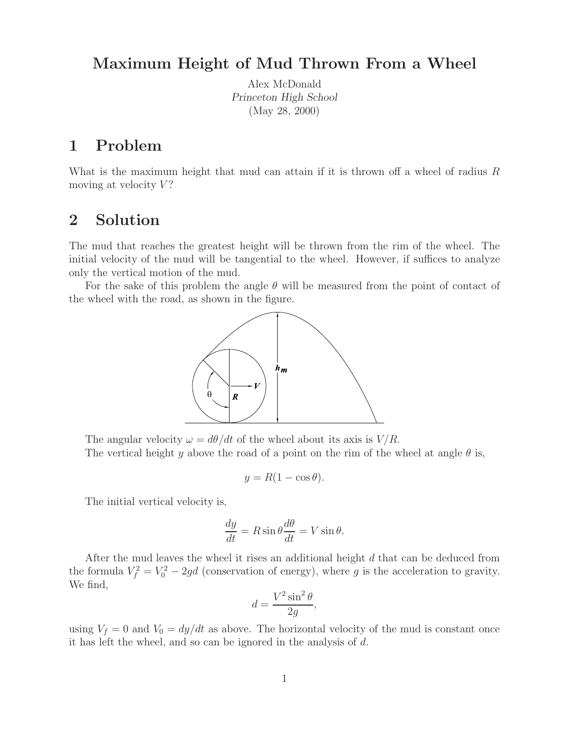## **Maximum Height of Mud Thrown From a Wheel**

Alex McDonald *Princeton High School* (May 28, 2000)

## **1 Problem**

What is the maximum height that mud can attain if it is thrown off a wheel of radius R moving at velocity  $V$ ?

## **2 Solution**

The mud that reaches the greatest height will be thrown from the rim of the wheel. The initial velocity of the mud will be tangential to the wheel. However, if suffices to analyze only the vertical motion of the mud.

For the sake of this problem the angle  $\theta$  will be measured from the point of contact of the wheel with the road, as shown in the figure.



The angular velocity  $\omega = d\theta/dt$  of the wheel about its axis is  $V/R$ . The vertical height y above the road of a point on the rim of the wheel at angle  $\theta$  is,

$$
y = R(1 - \cos \theta).
$$

The initial vertical velocity is,

$$
\frac{dy}{dt} = R\sin\theta \frac{d\theta}{dt} = V\sin\theta.
$$

After the mud leaves the wheel it rises an additional height d that can be deduced from the formula  $V_f^2 = V_0^2 - 2gd$  (conservation of energy), where g is the acceleration to gravity. We find,

$$
d = \frac{V^2 \sin^2 \theta}{2g},
$$

using  $V_f = 0$  and  $V_0 = dy/dt$  as above. The horizontal velocity of the mud is constant once it has left the wheel, and so can be ignored in the analysis of d.